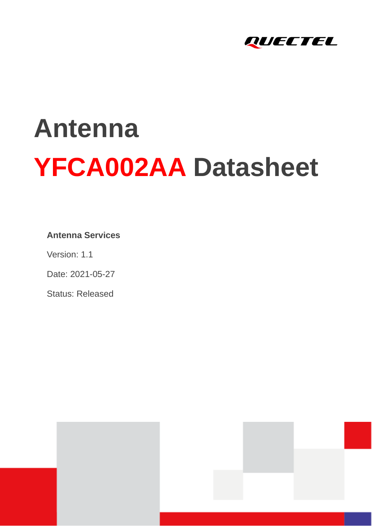

# **Antenna YFCA002AA Datasheet**

#### **Antenna Services**

Version: 1.1

Date: 2021-05-27

Status: Released



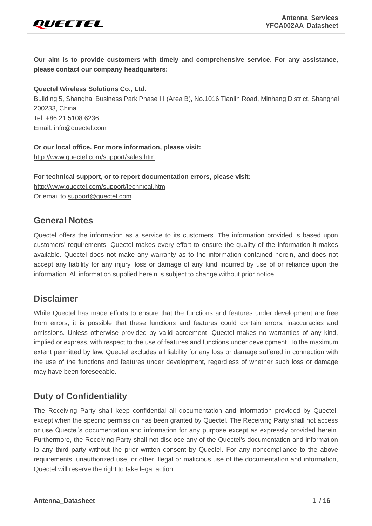

**Our aim is to provide customers with timely and comprehensive service. For any assistance, please contact our company headquarters:**

**Quectel Wireless Solutions Co., Ltd.** 

Building 5, Shanghai Business Park Phase III (Area B), No.1016 Tianlin Road, Minhang District, Shanghai 200233, China Tel: +86 21 5108 6236 Email: [info@quectel.com](mailto:info@quectel.com)

**Or our local office. For more information, please visit:**  [http://www.quectel.com/support/sales.htm.](http://www.quectel.com/support/sales.htm)

**For technical support, or to report documentation errors, please visit:**  <http://www.quectel.com/support/technical.htm> Or email to [support@quectel.com.](mailto:support@quectel.com)

#### **General Notes**

Quectel offers the information as a service to its customers. The information provided is based upon customers' requirements. Quectel makes every effort to ensure the quality of the information it makes available. Quectel does not make any warranty as to the information contained herein, and does not accept any liability for any injury, loss or damage of any kind incurred by use of or reliance upon the information. All information supplied herein is subject to change without prior notice.

#### **Disclaimer**

While Quectel has made efforts to ensure that the functions and features under development are free from errors, it is possible that these functions and features could contain errors, inaccuracies and omissions. Unless otherwise provided by valid agreement, Quectel makes no warranties of any kind, implied or express, with respect to the use of features and functions under development. To the maximum extent permitted by law, Quectel excludes all liability for any loss or damage suffered in connection with the use of the functions and features under development, regardless of whether such loss or damage may have been foreseeable.

#### **Duty of Confidentiality**

The Receiving Party shall keep confidential all documentation and information provided by Quectel, except when the specific permission has been granted by Quectel. The Receiving Party shall not access or use Quectel's documentation and information for any purpose except as expressly provided herein. Furthermore, the Receiving Party shall not disclose any of the Quectel's documentation and information to any third party without the prior written consent by Quectel. For any noncompliance to the above requirements, unauthorized use, or other illegal or malicious use of the documentation and information, Quectel will reserve the right to take legal action.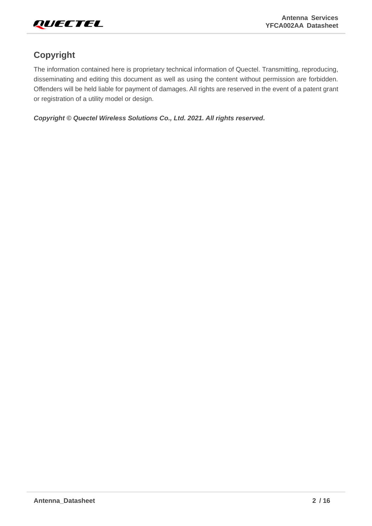

#### **Copyright**

The information contained here is proprietary technical information of Quectel. Transmitting, reproducing, disseminating and editing this document as well as using the content without permission are forbidden. Offenders will be held liable for payment of damages. All rights are reserved in the event of a patent grant or registration of a utility model or design.

*Copyright © Quectel Wireless Solutions Co., Ltd. 2021. All rights reserved.*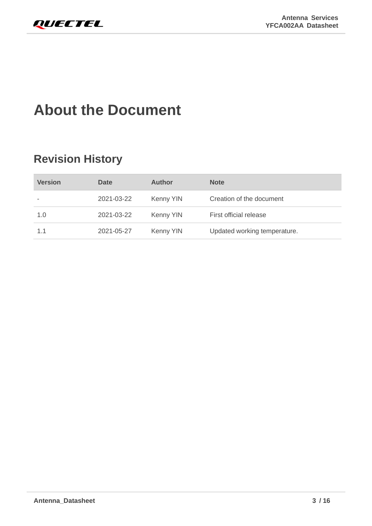# <span id="page-3-0"></span>**About the Document**

## **Revision History**

| <b>Version</b> | <b>Date</b> | <b>Author</b> | <b>Note</b>                  |
|----------------|-------------|---------------|------------------------------|
|                | 2021-03-22  | Kenny YIN     | Creation of the document     |
| 1.0            | 2021-03-22  | Kenny YIN     | First official release       |
| 1.1            | 2021-05-27  | Kenny YIN     | Updated working temperature. |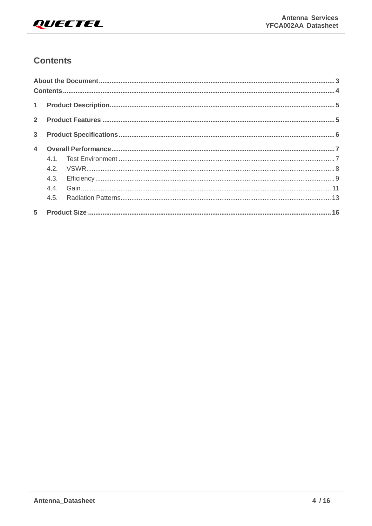

#### <span id="page-4-0"></span>**Contents**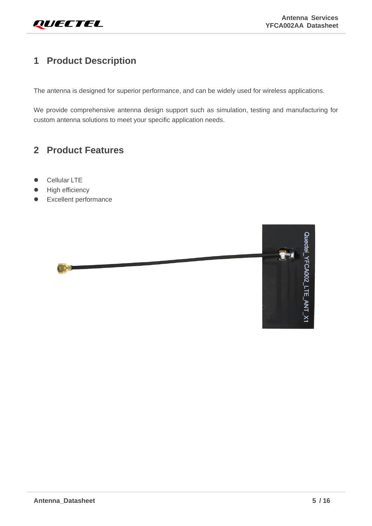#### <span id="page-5-0"></span>**1 Product Description**

The antenna is designed for superior performance, and can be widely used for wireless applications.

We provide comprehensive antenna design support such as simulation, testing and manufacturing for custom antenna solutions to meet your specific application needs.

#### <span id="page-5-1"></span>**2 Product Features**

- Cellular LTE
- High efficiency
- ⚫ Excellent performance

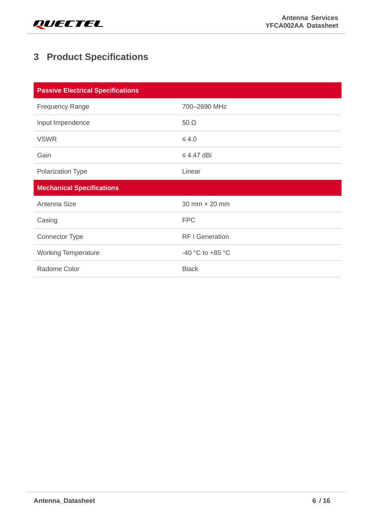

### <span id="page-6-0"></span>**3 Product Specifications**

| <b>Passive Electrical Specifications</b> |                        |  |  |  |  |  |
|------------------------------------------|------------------------|--|--|--|--|--|
| <b>Frequency Range</b>                   | 700-2690 MHz           |  |  |  |  |  |
| Input Impendence                         | $50 \Omega$            |  |  |  |  |  |
| <b>VSWR</b>                              | $\leq 4.0$             |  |  |  |  |  |
| Gain                                     | $\leq$ 4.47 dBi        |  |  |  |  |  |
| Polarization Type                        | Linear                 |  |  |  |  |  |
| <b>Mechanical Specifications</b>         |                        |  |  |  |  |  |
| Antenna Size                             | 30 mm × 20 mm          |  |  |  |  |  |
| Casing                                   | <b>FPC</b>             |  |  |  |  |  |
| <b>Connector Type</b>                    | <b>RF I Generation</b> |  |  |  |  |  |
| <b>Working Temperature</b>               | -40 °C to +85 °C       |  |  |  |  |  |
| Radome Color                             | <b>Black</b>           |  |  |  |  |  |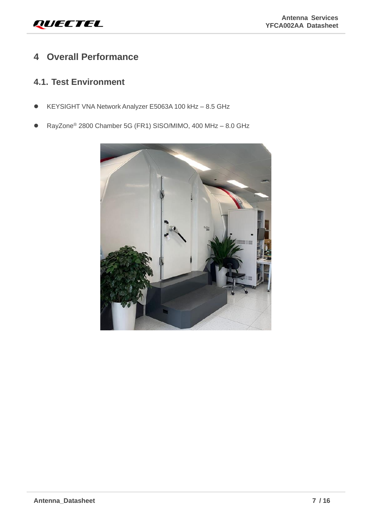#### <span id="page-7-0"></span>**4 Overall Performance**

#### <span id="page-7-1"></span>**4.1. Test Environment**

- KEYSIGHT VNA Network Analyzer E5063A 100 kHz 8.5 GHz
- ⚫ RayZone® 2800 Chamber 5G (FR1) SISO/MIMO, 400 MHz 8.0 GHz

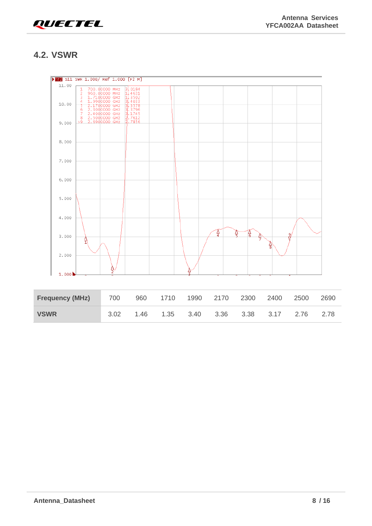

#### <span id="page-8-0"></span>**4.2. VSWR**



| <b>Frequency (MHz)</b> | 700  | 960 1710 | 1990 2170 2300 2400 |  | 2500 | 2690 |
|------------------------|------|----------|---------------------|--|------|------|
| <b>VSWR</b>            | 3.02 |          |                     |  |      | 2.78 |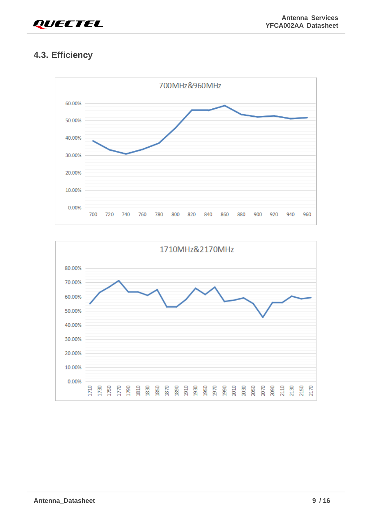

#### <span id="page-9-0"></span>**4.3. Efficiency**



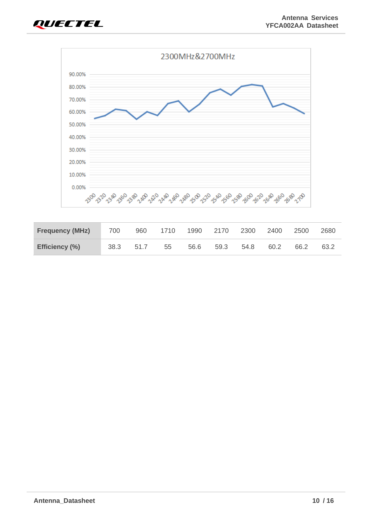



| <b>Frequency (MHz)</b> | 700  |      | 960 1710 | 1990 | 2170 | 2300 | 2400 | 2500 | 2680 |
|------------------------|------|------|----------|------|------|------|------|------|------|
| Efficiency (%)         | 38.3 | 51.7 | 55       | 56.6 | 59.3 | 54.8 | 60.2 | 66.2 | 63.2 |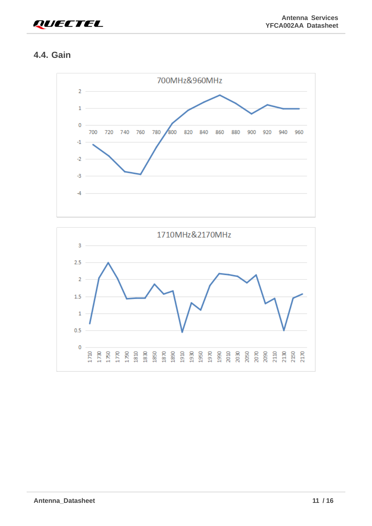

#### <span id="page-11-0"></span>**4.4. Gain**



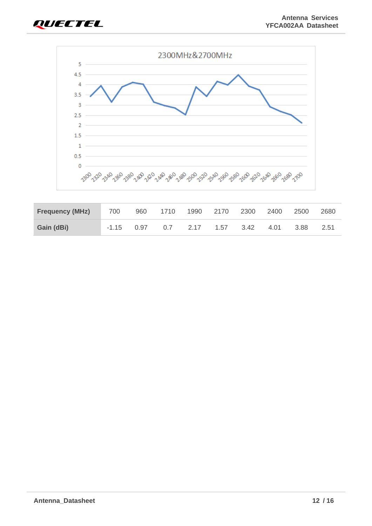



| <b>Frequency (MHz)</b> | 700          | 960 1710 |                      | 1990 2170 | 2300      | 2400 | 2500  | 2680 |
|------------------------|--------------|----------|----------------------|-----------|-----------|------|-------|------|
| Gain (dBi)             | $-1.15$ 0.97 | 0.7      | $\cdot$ 2.17 $\cdot$ |           | 1.57 3.42 | 4.01 | -3.88 | 2.51 |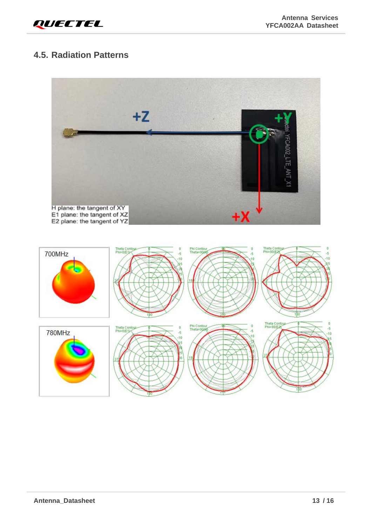#### <span id="page-13-0"></span>**4.5. Radiation Patterns**

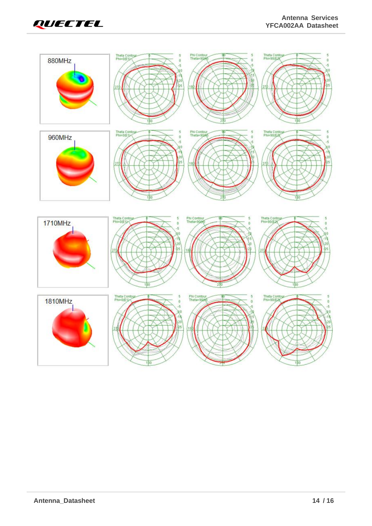

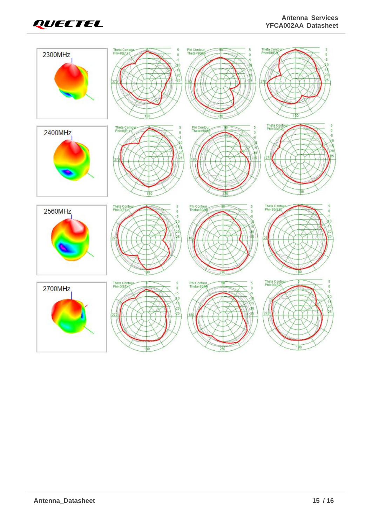